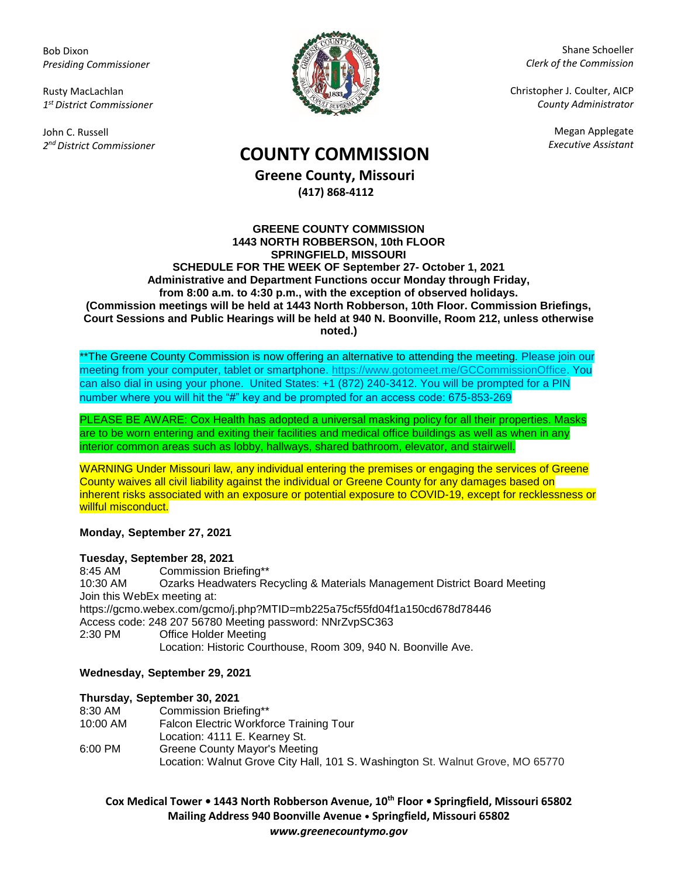Bob Dixon *Presiding Commissioner*

Rusty MacLachlan *1 st District Commissioner*

John C. Russell *2 nd District Commissioner*



Shane Schoeller *Clerk of the Commission*

Christopher J. Coulter, AICP *County Administrator*

Megan Applegate

# *Executive Assistant* **COUNTY COMMISSION**

**Greene County, Missouri (417) 868-4112**

#### **GREENE COUNTY COMMISSION 1443 NORTH ROBBERSON, 10th FLOOR SPRINGFIELD, MISSOURI SCHEDULE FOR THE WEEK OF September 27- October 1, 2021 Administrative and Department Functions occur Monday through Friday, from 8:00 a.m. to 4:30 p.m., with the exception of observed holidays. (Commission meetings will be held at 1443 North Robberson, 10th Floor. Commission Briefings, Court Sessions and Public Hearings will be held at 940 N. Boonville, Room 212, unless otherwise noted.)**

\*\*The Greene County Commission is now offering an alternative to attending the meeting. Please join our meeting from your computer, tablet or smartphone. [https://www.gotomeet.me/GCCommissionOffice.](https://www.gotomeet.me/GCCommissionOffice) You can also dial in using your phone. United States: +1 (872) 240-3412. You will be prompted for a PIN number where you will hit the "#" key and be prompted for an access code: 675-853-269

PLEASE BE AWARE: Cox Health has adopted a universal masking policy for all their properties. Masks are to be worn entering and exiting their facilities and medical office buildings as well as when in any interior common areas such as lobby, hallways, shared bathroom, elevator, and stairwell.

WARNING Under Missouri law, any individual entering the premises or engaging the services of Greene County waives all civil liability against the individual or Greene County for any damages based on inherent risks associated with an exposure or potential exposure to COVID-19, except for recklessness or willful misconduct.

**Monday, September 27, 2021**

### **Tuesday, September 28, 2021**

8:45 AM Commission Briefing\*\* 10:30 AM Ozarks Headwaters Recycling & Materials Management District Board Meeting Join this WebEx meeting at: https://gcmo.webex.com/gcmo/j.php?MTID=mb225a75cf55fd04f1a150cd678d78446 Access code: 248 207 56780 Meeting password: NNrZvpSC363 2:30 PM Office Holder Meeting Location: Historic Courthouse, Room 309, 940 N. Boonville Ave.

### **Wednesday, September 29, 2021**

### **Thursday, September 30, 2021**

| 8:30 AM  | Commission Briefing**                                                          |
|----------|--------------------------------------------------------------------------------|
| 10:00 AM | Falcon Electric Workforce Training Tour                                        |
|          | Location: 4111 E. Kearney St.                                                  |
| 6:00 PM  | Greene County Mayor's Meeting                                                  |
|          | Location: Walnut Grove City Hall, 101 S. Washington St. Walnut Grove, MO 65770 |

**Cox Medical Tower • 1443 North Robberson Avenue, 10th Floor • Springfield, Missouri 65802 Mailing Address 940 Boonville Avenue • Springfield, Missouri 65802** *www.greenecountymo.gov*